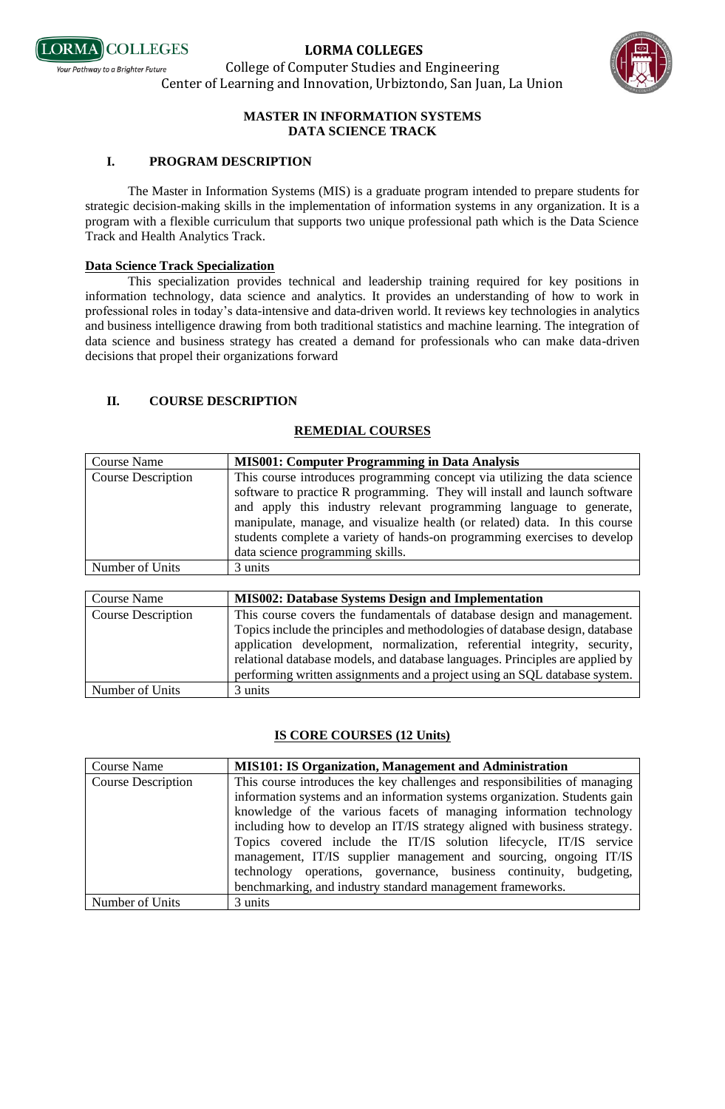

College of Computer Studies and Engineering Center of Learning and Innovation, Urbiztondo, San Juan, La Union



#### **MASTER IN INFORMATION SYSTEMS DATA SCIENCE TRACK**

#### **I. PROGRAM DESCRIPTION**

The Master in Information Systems (MIS) is a graduate program intended to prepare students for strategic decision-making skills in the implementation of information systems in any organization. It is a program with a flexible curriculum that supports two unique professional path which is the Data Science Track and Health Analytics Track.

#### **Data Science Track Specialization**

This specialization provides technical and leadership training required for key positions in information technology, data science and analytics. It provides an understanding of how to work in professional roles in today's data-intensive and data-driven world. It reviews key technologies in analytics and business intelligence drawing from both traditional statistics and machine learning. The integration of data science and business strategy has created a demand for professionals who can make data-driven decisions that propel their organizations forward

### **II. COURSE DESCRIPTION**

### **REMEDIAL COURSES**

| <b>Course Name</b>        | <b>MIS001: Computer Programming in Data Analysis</b>                                                                                                                                                                                                                                                                                                                                                                       |
|---------------------------|----------------------------------------------------------------------------------------------------------------------------------------------------------------------------------------------------------------------------------------------------------------------------------------------------------------------------------------------------------------------------------------------------------------------------|
| <b>Course Description</b> | This course introduces programming concept via utilizing the data science<br>software to practice R programming. They will install and launch software<br>and apply this industry relevant programming language to generate,<br>manipulate, manage, and visualize health (or related) data. In this course<br>students complete a variety of hands-on programming exercises to develop<br>data science programming skills. |
| Number of Units           | 3 units                                                                                                                                                                                                                                                                                                                                                                                                                    |
|                           |                                                                                                                                                                                                                                                                                                                                                                                                                            |

| Course Name               | <b>MIS002: Database Systems Design and Implementation</b>                     |
|---------------------------|-------------------------------------------------------------------------------|
| <b>Course Description</b> | This course covers the fundamentals of database design and management.        |
|                           | Topics include the principles and methodologies of database design, database  |
|                           | application development, normalization, referential integrity, security,      |
|                           | relational database models, and database languages. Principles are applied by |
|                           | performing written assignments and a project using an SQL database system.    |
| Number of Units           | 3 units                                                                       |

### **IS CORE COURSES (12 Units)**

| <b>Course Name</b>        | <b>MIS101: IS Organization, Management and Administration</b>                                                                                                                                                                                                                                                                                                                                                                                                                                                                 |
|---------------------------|-------------------------------------------------------------------------------------------------------------------------------------------------------------------------------------------------------------------------------------------------------------------------------------------------------------------------------------------------------------------------------------------------------------------------------------------------------------------------------------------------------------------------------|
| <b>Course Description</b> | This course introduces the key challenges and responsibilities of managing<br>information systems and an information systems organization. Students gain<br>knowledge of the various facets of managing information technology<br>including how to develop an IT/IS strategy aligned with business strategy.<br>Topics covered include the IT/IS solution lifecycle, IT/IS service<br>management, IT/IS supplier management and sourcing, ongoing IT/IS<br>technology operations, governance, business continuity, budgeting, |
|                           | benchmarking, and industry standard management frameworks.                                                                                                                                                                                                                                                                                                                                                                                                                                                                    |
| Number of Units           | 3 units                                                                                                                                                                                                                                                                                                                                                                                                                                                                                                                       |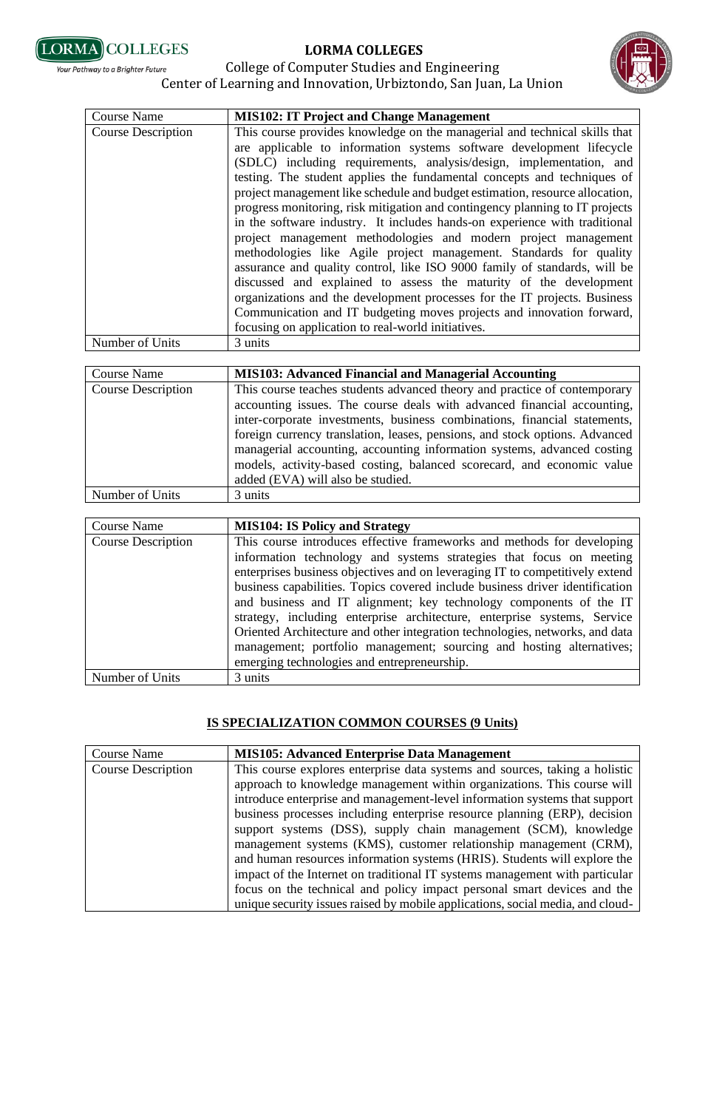



#### College of Computer Studies and Engineering Your Pathway to a Brighter Future Center of Learning and Innovation, Urbiztondo, San Juan, La Union

| <b>Course Name</b>        | <b>MIS102: IT Project and Change Management</b>                                                                                                                                                                                                                                                                                                                                                                                                                                                                                                                                                                                                                                                                                                                                                                                                                                                                                                                                                                                                          |
|---------------------------|----------------------------------------------------------------------------------------------------------------------------------------------------------------------------------------------------------------------------------------------------------------------------------------------------------------------------------------------------------------------------------------------------------------------------------------------------------------------------------------------------------------------------------------------------------------------------------------------------------------------------------------------------------------------------------------------------------------------------------------------------------------------------------------------------------------------------------------------------------------------------------------------------------------------------------------------------------------------------------------------------------------------------------------------------------|
| <b>Course Description</b> | This course provides knowledge on the managerial and technical skills that<br>are applicable to information systems software development lifecycle<br>(SDLC) including requirements, analysis/design, implementation, and<br>testing. The student applies the fundamental concepts and techniques of<br>project management like schedule and budget estimation, resource allocation,<br>progress monitoring, risk mitigation and contingency planning to IT projects<br>in the software industry. It includes hands-on experience with traditional<br>project management methodologies and modern project management<br>methodologies like Agile project management. Standards for quality<br>assurance and quality control, like ISO 9000 family of standards, will be<br>discussed and explained to assess the maturity of the development<br>organizations and the development processes for the IT projects. Business<br>Communication and IT budgeting moves projects and innovation forward,<br>focusing on application to real-world initiatives. |
| Number of Units           | 3 units                                                                                                                                                                                                                                                                                                                                                                                                                                                                                                                                                                                                                                                                                                                                                                                                                                                                                                                                                                                                                                                  |

| <b>Course Name</b>        | <b>MIS103: Advanced Financial and Managerial Accounting</b>                                                                                                                                                                                                                                                                                                                                                                                                                                                |
|---------------------------|------------------------------------------------------------------------------------------------------------------------------------------------------------------------------------------------------------------------------------------------------------------------------------------------------------------------------------------------------------------------------------------------------------------------------------------------------------------------------------------------------------|
| <b>Course Description</b> | This course teaches students advanced theory and practice of contemporary<br>accounting issues. The course deals with advanced financial accounting,<br>inter-corporate investments, business combinations, financial statements,<br>foreign currency translation, leases, pensions, and stock options. Advanced<br>managerial accounting, accounting information systems, advanced costing<br>models, activity-based costing, balanced scorecard, and economic value<br>added (EVA) will also be studied. |
| Number of Units           | 3 units                                                                                                                                                                                                                                                                                                                                                                                                                                                                                                    |

| Course Name               | <b>MIS104: IS Policy and Strategy</b>                                        |
|---------------------------|------------------------------------------------------------------------------|
| <b>Course Description</b> | This course introduces effective frameworks and methods for developing       |
|                           | information technology and systems strategies that focus on meeting          |
|                           | enterprises business objectives and on leveraging IT to competitively extend |
|                           | business capabilities. Topics covered include business driver identification |
|                           | and business and IT alignment; key technology components of the IT           |
|                           | strategy, including enterprise architecture, enterprise systems, Service     |
|                           | Oriented Architecture and other integration technologies, networks, and data |
|                           | management; portfolio management; sourcing and hosting alternatives;         |
|                           | emerging technologies and entrepreneurship.                                  |
| Number of Units           | 3 units                                                                      |

### **IS SPECIALIZATION COMMON COURSES (9 Units)**

| <b>Course Name</b>        | <b>MIS105: Advanced Enterprise Data Management</b>                             |
|---------------------------|--------------------------------------------------------------------------------|
| <b>Course Description</b> | This course explores enterprise data systems and sources, taking a holistic    |
|                           | approach to knowledge management within organizations. This course will        |
|                           | introduce enterprise and management-level information systems that support     |
|                           | business processes including enterprise resource planning (ERP), decision      |
|                           | support systems (DSS), supply chain management (SCM), knowledge                |
|                           | management systems (KMS), customer relationship management (CRM),              |
|                           | and human resources information systems (HRIS). Students will explore the      |
|                           | impact of the Internet on traditional IT systems management with particular    |
|                           | focus on the technical and policy impact personal smart devices and the        |
|                           | unique security issues raised by mobile applications, social media, and cloud- |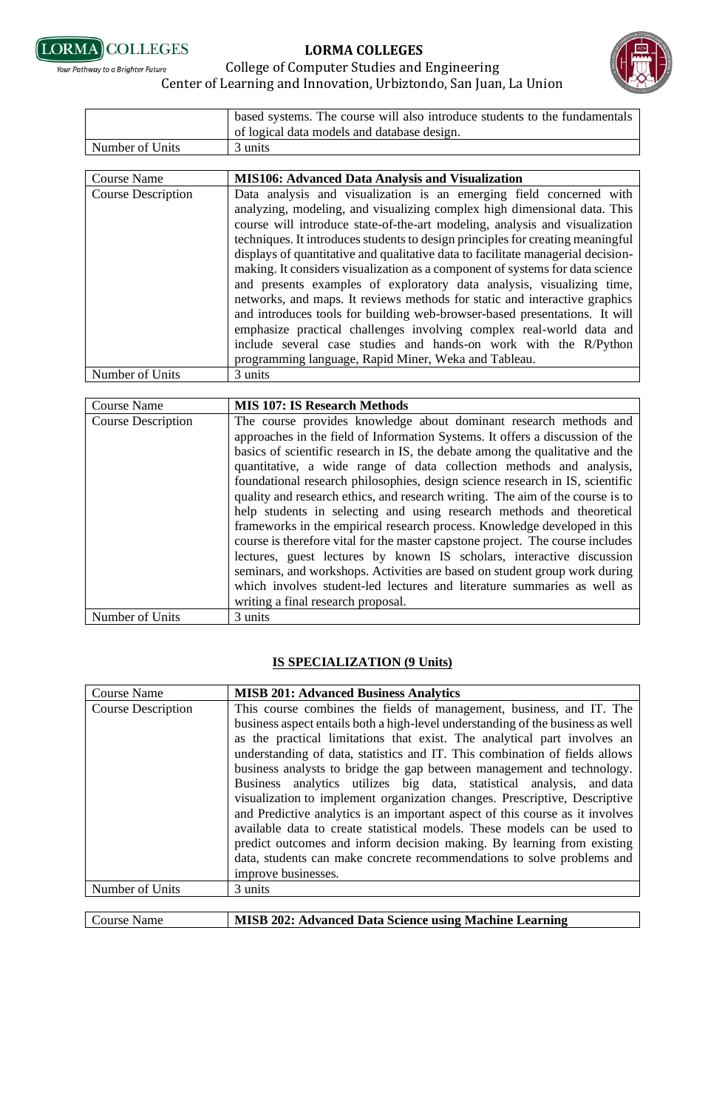





|                           | based systems. The course will also introduce students to the fundamentals                                                                                                                                                                                                                                                                                                                                                                                                                                                                                                                                                                                                                                                                                                                                                                                                                                                      |
|---------------------------|---------------------------------------------------------------------------------------------------------------------------------------------------------------------------------------------------------------------------------------------------------------------------------------------------------------------------------------------------------------------------------------------------------------------------------------------------------------------------------------------------------------------------------------------------------------------------------------------------------------------------------------------------------------------------------------------------------------------------------------------------------------------------------------------------------------------------------------------------------------------------------------------------------------------------------|
|                           | of logical data models and database design.                                                                                                                                                                                                                                                                                                                                                                                                                                                                                                                                                                                                                                                                                                                                                                                                                                                                                     |
| Number of Units           | 3 units                                                                                                                                                                                                                                                                                                                                                                                                                                                                                                                                                                                                                                                                                                                                                                                                                                                                                                                         |
|                           |                                                                                                                                                                                                                                                                                                                                                                                                                                                                                                                                                                                                                                                                                                                                                                                                                                                                                                                                 |
| <b>Course Name</b>        | <b>MIS106: Advanced Data Analysis and Visualization</b>                                                                                                                                                                                                                                                                                                                                                                                                                                                                                                                                                                                                                                                                                                                                                                                                                                                                         |
| <b>Course Description</b> | Data analysis and visualization is an emerging field concerned with<br>analyzing, modeling, and visualizing complex high dimensional data. This<br>course will introduce state-of-the-art modeling, analysis and visualization<br>techniques. It introduces students to design principles for creating meaningful<br>displays of quantitative and qualitative data to facilitate managerial decision-<br>making. It considers visualization as a component of systems for data science<br>and presents examples of exploratory data analysis, visualizing time,<br>networks, and maps. It reviews methods for static and interactive graphics<br>and introduces tools for building web-browser-based presentations. It will<br>emphasize practical challenges involving complex real-world data and<br>include several case studies and hands-on work with the R/Python<br>programming language, Rapid Miner, Weka and Tableau. |
| Number of Units           | 3 units                                                                                                                                                                                                                                                                                                                                                                                                                                                                                                                                                                                                                                                                                                                                                                                                                                                                                                                         |

| <b>Course Name</b>        | <b>MIS 107: IS Research Methods</b>                                            |
|---------------------------|--------------------------------------------------------------------------------|
| <b>Course Description</b> | The course provides knowledge about dominant research methods and              |
|                           | approaches in the field of Information Systems. It offers a discussion of the  |
|                           | basics of scientific research in IS, the debate among the qualitative and the  |
|                           | quantitative, a wide range of data collection methods and analysis,            |
|                           | foundational research philosophies, design science research in IS, scientific  |
|                           | quality and research ethics, and research writing. The aim of the course is to |
|                           | help students in selecting and using research methods and theoretical          |
|                           | frameworks in the empirical research process. Knowledge developed in this      |
|                           | course is therefore vital for the master capstone project. The course includes |
|                           | lectures, guest lectures by known IS scholars, interactive discussion          |
|                           | seminars, and workshops. Activities are based on student group work during     |
|                           | which involves student-led lectures and literature summaries as well as        |
|                           | writing a final research proposal.                                             |
| Number of Units           | 3 units                                                                        |

## **IS SPECIALIZATION (9 Units)**

| <b>Course Name</b>        | <b>MISB 201: Advanced Business Analytics</b>                                                                                                                                                                                                                                                                                                                                                                                                                                                                                                                                                                                        |
|---------------------------|-------------------------------------------------------------------------------------------------------------------------------------------------------------------------------------------------------------------------------------------------------------------------------------------------------------------------------------------------------------------------------------------------------------------------------------------------------------------------------------------------------------------------------------------------------------------------------------------------------------------------------------|
| <b>Course Description</b> | This course combines the fields of management, business, and IT. The<br>business aspect entails both a high-level understanding of the business as well<br>as the practical limitations that exist. The analytical part involves an<br>understanding of data, statistics and IT. This combination of fields allows<br>business analysts to bridge the gap between management and technology.<br>Business analytics utilizes big data, statistical analysis, and data<br>visualization to implement organization changes. Prescriptive, Descriptive<br>and Predictive analytics is an important aspect of this course as it involves |
|                           | available data to create statistical models. These models can be used to<br>predict outcomes and inform decision making. By learning from existing<br>data, students can make concrete recommendations to solve problems and<br>improve businesses.                                                                                                                                                                                                                                                                                                                                                                                 |
| Number of Units           | 3 units                                                                                                                                                                                                                                                                                                                                                                                                                                                                                                                                                                                                                             |
|                           |                                                                                                                                                                                                                                                                                                                                                                                                                                                                                                                                                                                                                                     |
| Course Name               | <b>MISB 202: Advanced Data Science using Machine Learning</b>                                                                                                                                                                                                                                                                                                                                                                                                                                                                                                                                                                       |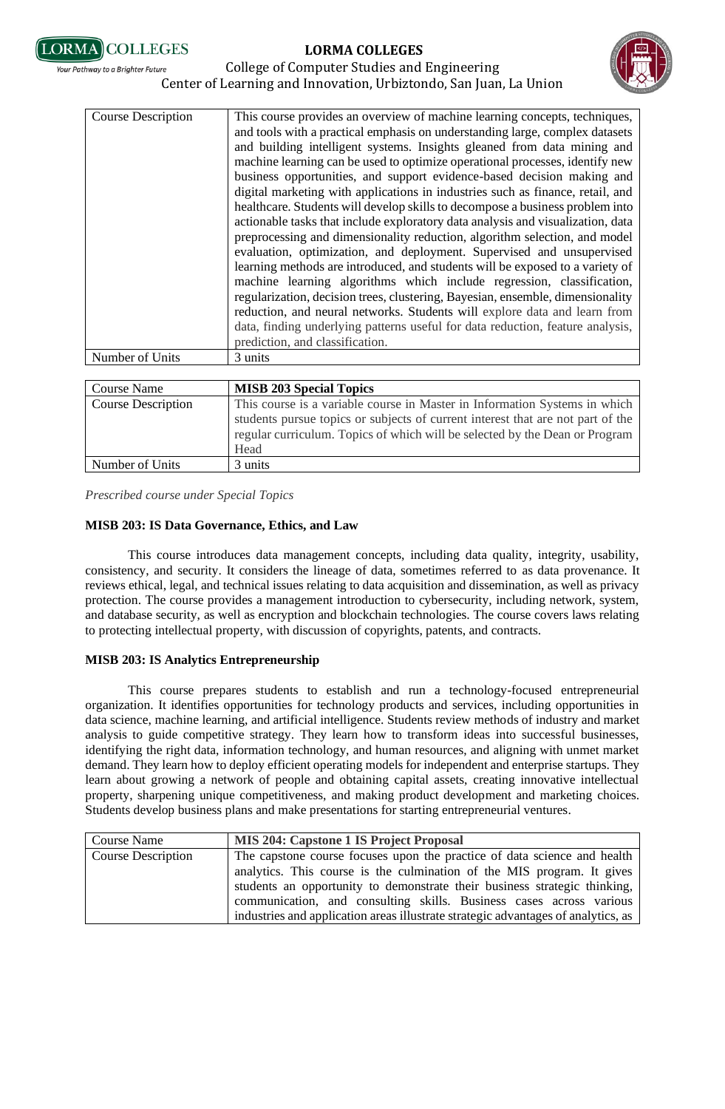**ORMA COLLEGES** .<br>Your Pathway to a Brighter Future

# **LORMA COLLEGES**





| Course Name               | <b>MISB 203 Special Topics</b>                                                  |
|---------------------------|---------------------------------------------------------------------------------|
| <b>Course Description</b> | This course is a variable course in Master in Information Systems in which      |
|                           | students pursue topics or subjects of current interest that are not part of the |
|                           | regular curriculum. Topics of which will be selected by the Dean or Program     |
|                           | Head                                                                            |
| Number of Units           | 3 units                                                                         |

*Prescribed course under Special Topics*

#### **MISB 203: IS Data Governance, Ethics, and Law**

This course introduces data management concepts, including data quality, integrity, usability, consistency, and security. It considers the lineage of data, sometimes referred to as data provenance. It reviews ethical, legal, and technical issues relating to data acquisition and dissemination, as well as privacy protection. The course provides a management introduction to cybersecurity, including network, system, and database security, as well as encryption and blockchain technologies. The course covers laws relating to protecting intellectual property, with discussion of copyrights, patents, and contracts.

#### **MISB 203: IS Analytics Entrepreneurship**

This course prepares students to establish and run a technology-focused entrepreneurial organization. It identifies opportunities for technology products and services, including opportunities in data science, machine learning, and artificial intelligence. Students review methods of industry and market analysis to guide competitive strategy. They learn how to transform ideas into successful businesses, identifying the right data, information technology, and human resources, and aligning with unmet market demand. They learn how to deploy efficient operating models for independent and enterprise startups. They learn about growing a network of people and obtaining capital assets, creating innovative intellectual property, sharpening unique competitiveness, and making product development and marketing choices. Students develop business plans and make presentations for starting entrepreneurial ventures.

| Course Name        | <b>MIS 204: Capstone 1 IS Project Proposal</b>                                                                                                           |
|--------------------|----------------------------------------------------------------------------------------------------------------------------------------------------------|
| Course Description | The capstone course focuses upon the practice of data science and health                                                                                 |
|                    | analytics. This course is the culmination of the MIS program. It gives<br>students an opportunity to demonstrate their business strategic thinking,      |
|                    | communication, and consulting skills. Business cases across various<br>industries and application areas illustrate strategic advantages of analytics, as |